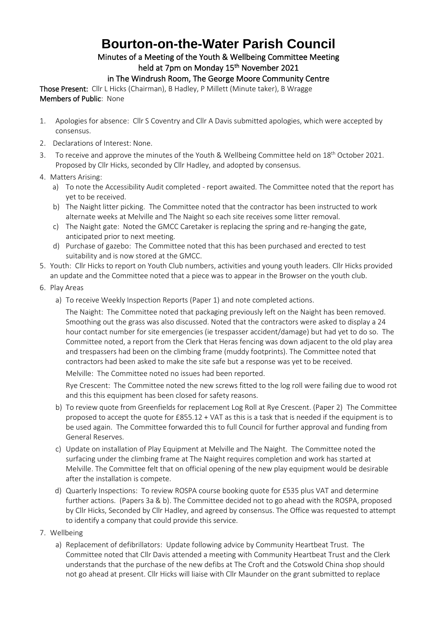## **Bourton-on-the-Water Parish Council**

## Minutes of a Meeting of the Youth & Wellbeing Committee Meeting held at 7pm on Monday 15<sup>th</sup> November 2021

## in The Windrush Room, The George Moore Community Centre

Those Present: Cllr L Hicks (Chairman), B Hadley, P Millett (Minute taker), B Wragge Members of Public: None

- 1. Apologies for absence: Cllr S Coventry and Cllr A Davis submitted apologies, which were accepted by consensus.
- 2. Declarations of Interest: None.
- 3. To receive and approve the minutes of the Youth & Wellbeing Committee held on 18<sup>th</sup> October 2021. Proposed by Cllr Hicks, seconded by Cllr Hadley, and adopted by consensus.
- 4. Matters Arising:
	- a) To note the Accessibility Audit completed report awaited. The Committee noted that the report has yet to be received.
	- b) The Naight litter picking. The Committee noted that the contractor has been instructed to work alternate weeks at Melville and The Naight so each site receives some litter removal.
	- c) The Naight gate: Noted the GMCC Caretaker is replacing the spring and re-hanging the gate, anticipated prior to next meeting.
	- d) Purchase of gazebo: The Committee noted that this has been purchased and erected to test suitability and is now stored at the GMCC.
- 5. Youth: Cllr Hicks to report on Youth Club numbers, activities and young youth leaders. Cllr Hicks provided an update and the Committee noted that a piece was to appear in the Browser on the youth club.
- 6. Play Areas
	- a) To receive Weekly Inspection Reports (Paper 1) and note completed actions.

The Naight: The Committee noted that packaging previously left on the Naight has been removed. Smoothing out the grass was also discussed. Noted that the contractors were asked to display a 24 hour contact number for site emergencies (ie trespasser accident/damage) but had yet to do so. The Committee noted, a report from the Clerk that Heras fencing was down adjacent to the old play area and trespassers had been on the climbing frame (muddy footprints). The Committee noted that contractors had been asked to make the site safe but a response was yet to be received.

Melville: The Committee noted no issues had been reported.

Rye Crescent: The Committee noted the new screws fitted to the log roll were failing due to wood rot and this this equipment has been closed for safety reasons.

- b) To review quote from Greenfields for replacement Log Roll at Rye Crescent. (Paper 2) The Committee proposed to accept the quote for £855.12 + VAT as this is a task that is needed if the equipment is to be used again. The Committee forwarded this to full Council for further approval and funding from General Reserves.
- c) Update on installation of Play Equipment at Melville and The Naight. The Committee noted the surfacing under the climbing frame at The Naight requires completion and work has started at Melville. The Committee felt that on official opening of the new play equipment would be desirable after the installation is compete.
- d) Quarterly Inspections: To review ROSPA course booking quote for £535 plus VAT and determine further actions. (Papers 3a & b). The Committee decided not to go ahead with the ROSPA, proposed by Cllr Hicks, Seconded by Cllr Hadley, and agreed by consensus. The Office was requested to attempt to identify a company that could provide this service.
- 7. Wellbeing
	- a) Replacement of defibrillators: Update following advice by Community Heartbeat Trust. The Committee noted that Cllr Davis attended a meeting with Community Heartbeat Trust and the Clerk understands that the purchase of the new defibs at The Croft and the Cotswold China shop should not go ahead at present. Cllr Hicks will liaise with Cllr Maunder on the grant submitted to replace